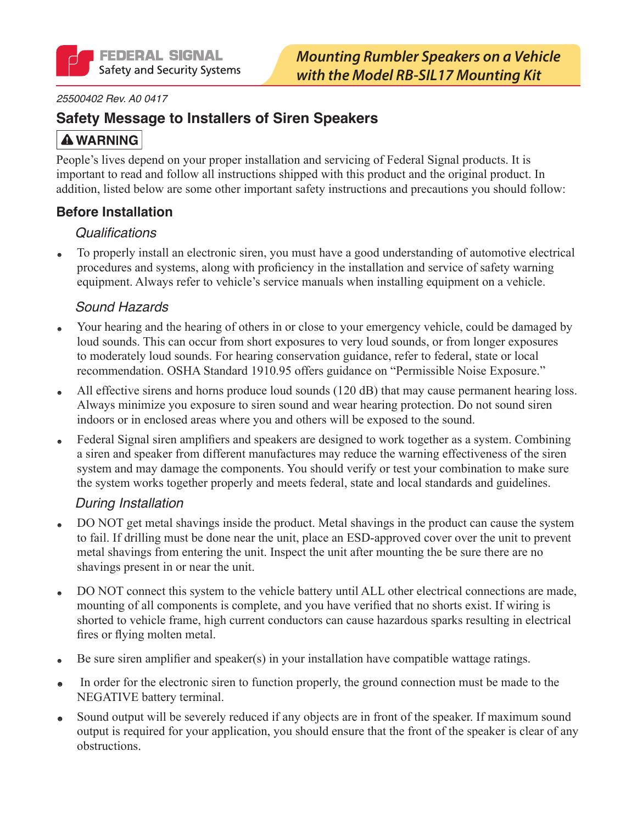

#### 25500402 Rev. A0 0417

## **Safety Message to Installers of Siren Speakers**

## **A WARNING**

People's lives depend on your proper installation and servicing of Federal Signal products. It is important to read and follow all instructions shipped with this product and the original product. In addition, listed below are some other important safety instructions and precautions you should follow:

### **Before Installation**

### **Qualifications**

To properly install an electronic siren, you must have a good understanding of automotive electrical procedures and systems, along with proficiency in the installation and service of safety warning equipment. Always refer to vehicle's service manuals when installing equipment on a vehicle.

### Sound Hazards

- Your hearing and the hearing of others in or close to your emergency vehicle, could be damaged by  $\bullet$ loud sounds. This can occur from short exposures to very loud sounds, or from longer exposures to moderately loud sounds. For hearing conservation guidance, refer to federal, state or local recommendation. OSHA Standard 1910.95 offers guidance on "Permissible Noise Exposure."
- All effective sirens and horns produce loud sounds (120 dB) that may cause permanent hearing loss. Always minimize you exposure to siren sound and wear hearing protection. Do not sound siren indoors or in enclosed areas where you and others will be exposed to the sound.
- Federal Signal siren amplifiers and speakers are designed to work together as a system. Combining a siren and speaker from different manufactures may reduce the warning effectiveness of the siren system and may damage the components. You should verify or test your combination to make sure the system works together properly and meets federal, state and local standards and guidelines.

### **During Installation**

- DO NOT get metal shavings inside the product. Metal shavings in the product can cause the system to fail. If drilling must be done near the unit, place an ESD-approved cover over the unit to prevent metal shavings from entering the unit. Inspect the unit after mounting the be sure there are no shavings present in or near the unit.
- DO NOT connect this system to the vehicle battery until ALL other electrical connections are made, ø, mounting of all components is complete, and you have verified that no shorts exist. If wiring is shorted to vehicle frame, high current conductors can cause hazardous sparks resulting in electrical fires or flying molten metal.
- Be sure siren amplifier and speaker(s) in your installation have compatible wattage ratings.  $\bullet$
- In order for the electronic siren to function properly, the ground connection must be made to the NEGATIVE battery terminal.
- Sound output will be severely reduced if any objects are in front of the speaker. If maximum sound  $\bullet$ output is required for your application, you should ensure that the front of the speaker is clear of any obstructions.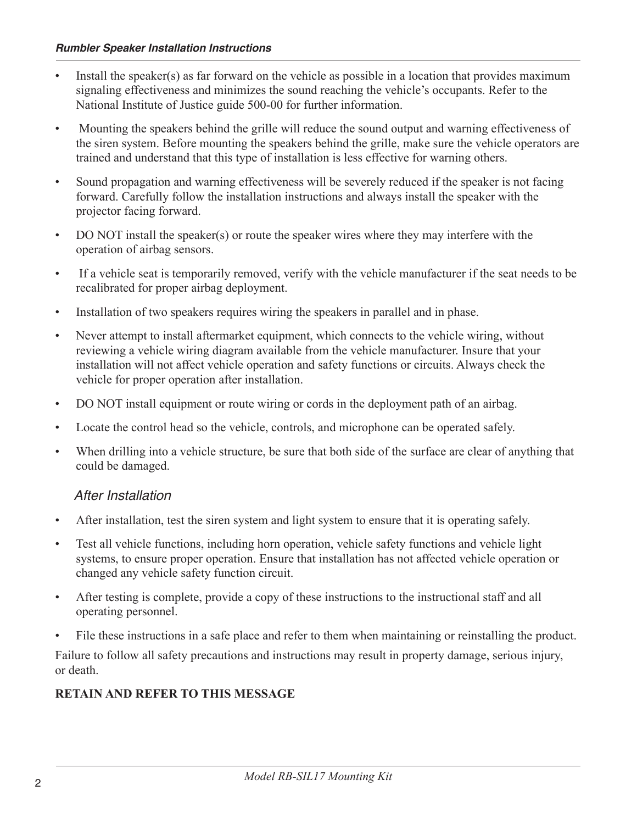- Install the speaker(s) as far forward on the vehicle as possible in a location that provides maximum  $\bullet$ signaling effectiveness and minimizes the sound reaching the vehicle's occupants. Refer to the National Institute of Justice guide 500-00 for further information.
- Mounting the speakers behind the grille will reduce the sound output and warning effectiveness of  $\bullet$ the siren system. Before mounting the speakers behind the grille, make sure the vehicle operators are trained and understand that this type of installation is less effective for warning others.
- Sound propagation and warning effectiveness will be severely reduced if the speaker is not facing  $\bullet$ forward. Carefully follow the installation instructions and always install the speaker with the projector facing forward.
- DO NOT install the speaker(s) or route the speaker wires where they may interfere with the  $\bullet$ operation of airbag sensors.
- If a vehicle seat is temporarily removed, verify with the vehicle manufacturer if the seat needs to be  $\bullet$ recalibrated for proper airbag deployment.
- Installation of two speakers requires wiring the speakers in parallel and in phase.  $\bullet$
- Never attempt to install aftermarket equipment, which connects to the vehicle wiring, without  $\bullet$ reviewing a vehicle wiring diagram available from the vehicle manufacturer. Insure that your installation will not affect vehicle operation and safety functions or circuits. Always check the vehicle for proper operation after installation.
- DO NOT install equipment or route wiring or cords in the deployment path of an airbag.  $\bullet$
- Locate the control head so the vehicle, controls, and microphone can be operated safely.  $\bullet$
- When drilling into a vehicle structure, be sure that both side of the surface are clear of anything that  $\bullet$ could be damaged.

## After Installation

- After installation, test the siren system and light system to ensure that it is operating safely.  $\bullet$
- Test all vehicle functions, including horn operation, vehicle safety functions and vehicle light  $\bullet$ systems, to ensure proper operation. Ensure that installation has not affected vehicle operation or changed any vehicle safety function circuit.
- After testing is complete, provide a copy of these instructions to the instructional staff and all  $\bullet$ operating personnel.
- File these instructions in a safe place and refer to them when maintaining or reinstalling the product.

Failure to follow all safety precautions and instructions may result in property damage, serious injury, or death.

## **RETAIN AND REFER TO THIS MESSAGE**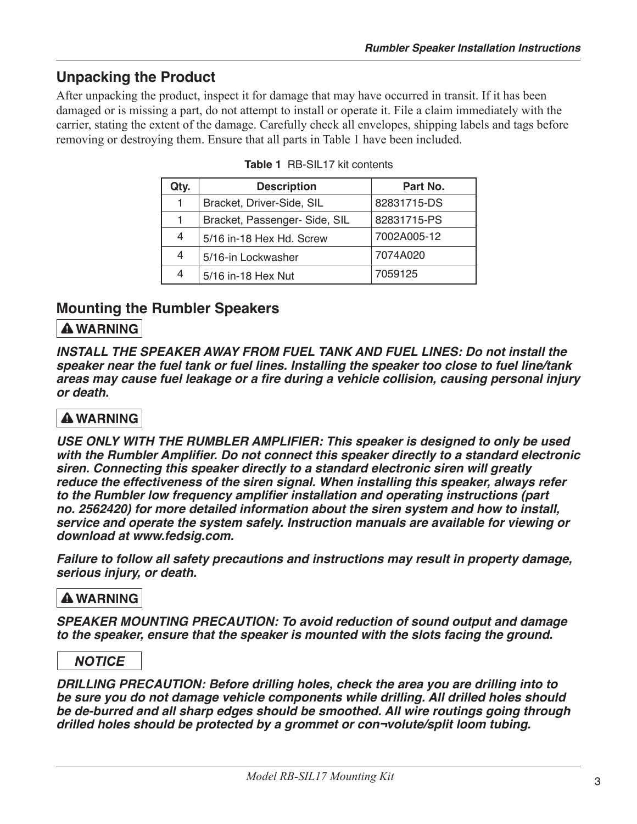# **Unpacking the Product**

After unpacking the product, inspect it for damage that may have occurred in transit. If it has been damaged or is missing a part, do not attempt to install or operate it. File a claim immediately with the carrier, stating the extent of the damage. Carefully check all envelopes, shipping labels and tags before removing or destroying them. Ensure that all parts in Table 1 have been included.

| Qty. | <b>Description</b>            | Part No.    |
|------|-------------------------------|-------------|
|      | Bracket, Driver-Side, SIL     | 82831715-DS |
|      | Bracket, Passenger- Side, SIL | 82831715-PS |
| 4    | 5/16 in-18 Hex Hd. Screw      | 7002A005-12 |
| 4    | 5/16-in Lockwasher            | 7074A020    |
|      | 5/16 in-18 Hex Nut            | 7059125     |

|  |  | <b>Table 1</b> RB-SIL17 kit contents |
|--|--|--------------------------------------|
|--|--|--------------------------------------|

## **Mounting the Rumbler Speakers**

## **A WARNING**

**INSTALL THE SPEAKER AWAY FROM FUEL TANK AND FUEL LINES: Do not install the** speaker near the fuel tank or fuel lines. Installing the speaker too close to fuel line/tank areas may cause fuel leakage or a fire during a vehicle collision, causing personal injury or death.

## **A WARNING**

USE ONLY WITH THE RUMBLER AMPLIFIER: This speaker is designed to only be used with the Rumbler Amplifier. Do not connect this speaker directly to a standard electronic siren. Connecting this speaker directly to a standard electronic siren will greatly reduce the effectiveness of the siren signal. When installing this speaker, always refer to the Rumbler low frequency amplifier installation and operating instructions (part no. 2562420) for more detailed information about the siren system and how to install, service and operate the system safely. Instruction manuals are available for viewing or download at www.fedsig.com.

Failure to follow all safety precautions and instructions may result in property damage, serious injury, or death.

### **A WARNING**

SPEAKER MOUNTING PRECAUTION: To avoid reduction of sound output and damage to the speaker, ensure that the speaker is mounted with the slots facing the ground.

## **NOTICE**

DRILLING PRECAUTION: Before drilling holes, check the area you are drilling into to be sure you do not damage vehicle components while drilling. All drilled holes should be de-burred and all sharp edges should be smoothed. All wire routings going through drilled holes should be protected by a grommet or con¬volute/split loom tubing.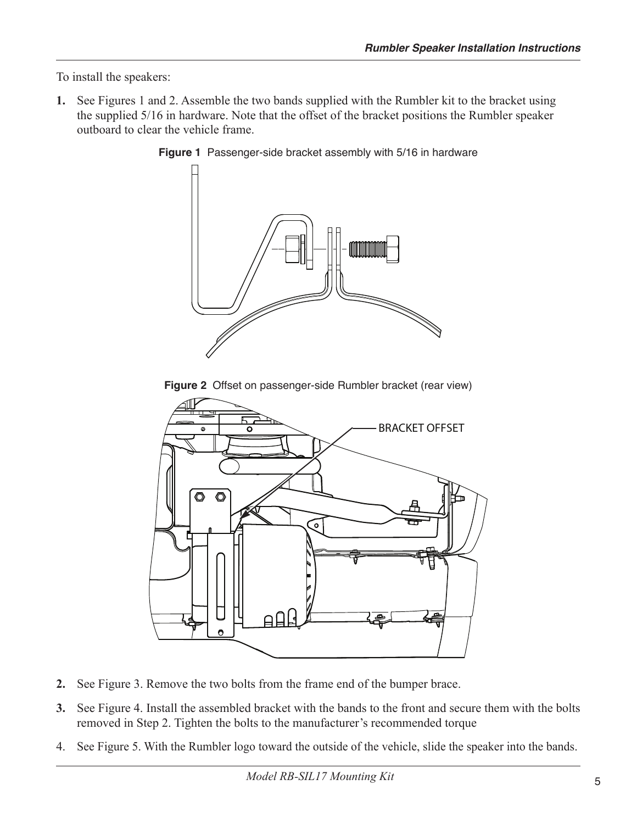To install the speakers:

1. See Figures 1 and 2. Assemble the two bands supplied with the Rumbler kit to the bracket using the supplied 5/16 in hardware. Note that the offset of the bracket positions the Rumbler speaker outboard to clear the vehicle frame.



Figure 1 Passenger-side bracket assembly with 5/16 in hardware

Figure 2 Offset on passenger-side Rumbler bracket (rear view)



- See Figure 3. Remove the two bolts from the frame end of the bumper brace.  $2.$
- 3. See Figure 4. Install the assembled bracket with the bands to the front and secure them with the bolts removed in Step 2. Tighten the bolts to the manufacturer's recommended torque
- 4. See Figure 5. With the Rumbler logo toward the outside of the vehicle, slide the speaker into the bands.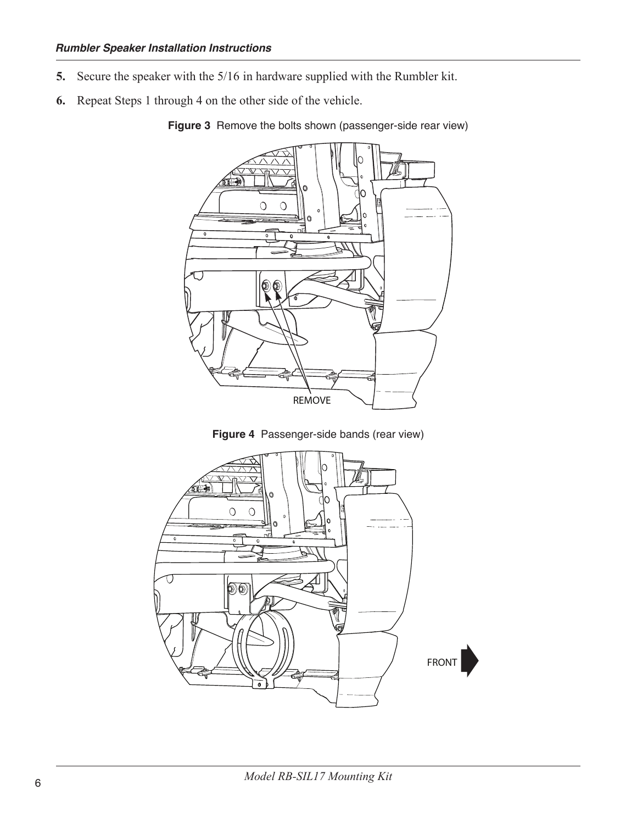- Secure the speaker with the 5/16 in hardware supplied with the Rumbler kit. 5.
- Repeat Steps 1 through 4 on the other side of the vehicle. 6.



Figure 3 Remove the bolts shown (passenger-side rear view)



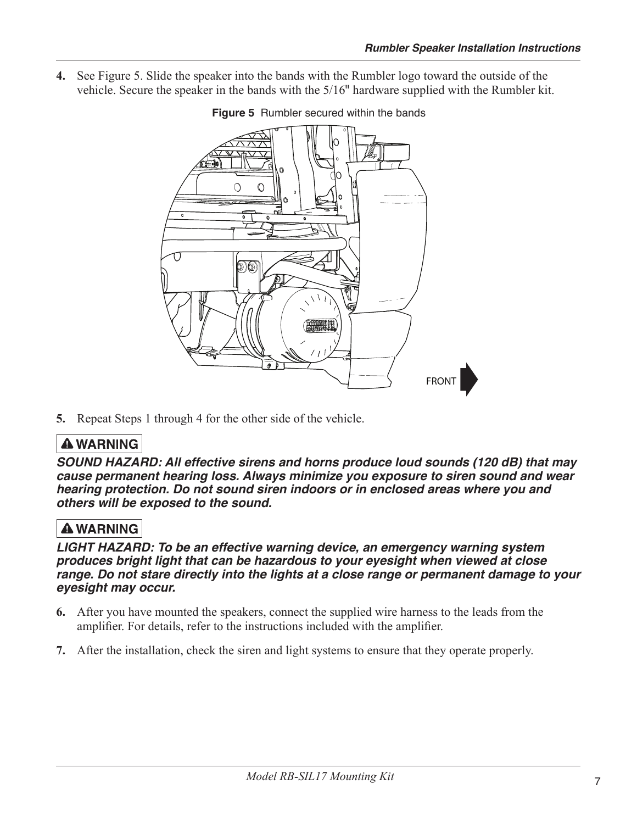4. See Figure 5. Slide the speaker into the bands with the Rumbler logo toward the outside of the vehicle. Secure the speaker in the bands with the 5/16" hardware supplied with the Rumbler kit.



#### Figure 5 Rumbler secured within the bands

5. Repeat Steps 1 through 4 for the other side of the vehicle.

## **A WARNING**

SOUND HAZARD: All effective sirens and horns produce loud sounds (120 dB) that may cause permanent hearing loss. Always minimize you exposure to siren sound and wear hearing protection. Do not sound siren indoors or in enclosed areas where you and others will be exposed to the sound.

## **A WARNING**

LIGHT HAZARD: To be an effective warning device, an emergency warning system produces bright light that can be hazardous to your eyesight when viewed at close range. Do not stare directly into the lights at a close range or permanent damage to your eyesight may occur.

- 6. After you have mounted the speakers, connect the supplied wire harness to the leads from the amplifier. For details, refer to the instructions included with the amplifier.
- 7. After the installation, check the siren and light systems to ensure that they operate properly.